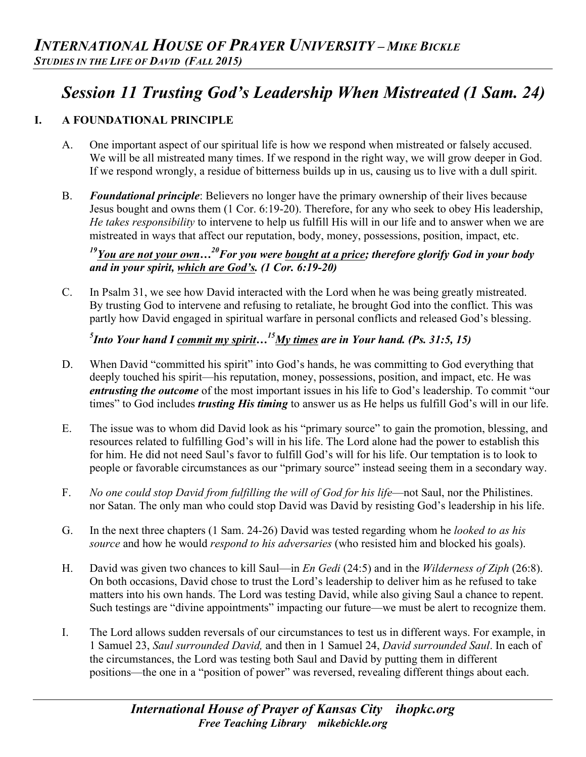# *Session 11 Trusting God's Leadership When Mistreated (1 Sam. 24)*

# **I. A FOUNDATIONAL PRINCIPLE**

- A. One important aspect of our spiritual life is how we respond when mistreated or falsely accused. We will be all mistreated many times. If we respond in the right way, we will grow deeper in God. If we respond wrongly, a residue of bitterness builds up in us, causing us to live with a dull spirit.
- B. *Foundational principle*: Believers no longer have the primary ownership of their lives because Jesus bought and owns them (1 Cor. 6:19-20). Therefore, for any who seek to obey His leadership, *He takes responsibility* to intervene to help us fulfill His will in our life and to answer when we are mistreated in ways that affect our reputation, body, money, possessions, position, impact, etc.

# *19You are not your own…20For you were bought at a price; therefore glorify God in your body and in your spirit, which are God's. (1 Cor. 6:19-20)*

C. In Psalm 31, we see how David interacted with the Lord when he was being greatly mistreated. By trusting God to intervene and refusing to retaliate, he brought God into the conflict. This was partly how David engaged in spiritual warfare in personal conflicts and released God's blessing.

*5 Into Your hand I commit my spirit…15My times are in Your hand. (Ps. 31:5, 15)* 

- D. When David "committed his spirit" into God's hands, he was committing to God everything that deeply touched his spirit—his reputation, money, possessions, position, and impact, etc. He was *entrusting the outcome* of the most important issues in his life to God's leadership. To commit "our times" to God includes *trusting His timing* to answer us as He helps us fulfill God's will in our life.
- E. The issue was to whom did David look as his "primary source" to gain the promotion, blessing, and resources related to fulfilling God's will in his life. The Lord alone had the power to establish this for him. He did not need Saul's favor to fulfill God's will for his life. Our temptation is to look to people or favorable circumstances as our "primary source" instead seeing them in a secondary way.
- F. *No one could stop David from fulfilling the will of God for his life*—not Saul, nor the Philistines. nor Satan. The only man who could stop David was David by resisting God's leadership in his life.
- G. In the next three chapters (1 Sam. 24-26) David was tested regarding whom he *looked to as his source* and how he would *respond to his adversaries* (who resisted him and blocked his goals).
- H. David was given two chances to kill Saul—in *En Gedi* (24:5) and in the *Wilderness of Ziph* (26:8). On both occasions, David chose to trust the Lord's leadership to deliver him as he refused to take matters into his own hands. The Lord was testing David, while also giving Saul a chance to repent. Such testings are "divine appointments" impacting our future—we must be alert to recognize them.
- I. The Lord allows sudden reversals of our circumstances to test us in different ways. For example, in 1 Samuel 23, *Saul surrounded David,* and then in 1 Samuel 24, *David surrounded Saul*. In each of the circumstances, the Lord was testing both Saul and David by putting them in different positions—the one in a "position of power" was reversed, revealing different things about each.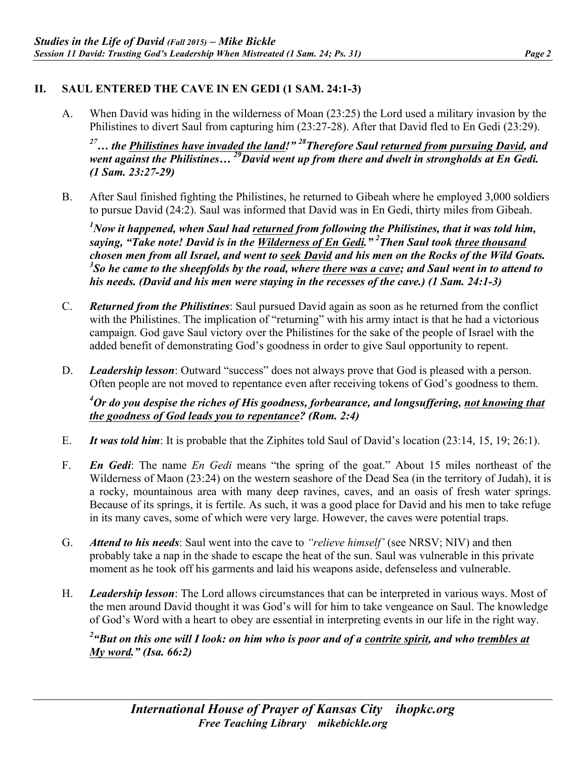#### **II. SAUL ENTERED THE CAVE IN EN GEDI (1 SAM. 24:1-3)**

A. When David was hiding in the wilderness of Moan (23:25) the Lord used a military invasion by the Philistines to divert Saul from capturing him (23:27-28). After that David fled to En Gedi (23:29).

<sup>27</sup>... the *Philistines have invaded the land!"* <sup>28</sup>Therefore Saul returned from pursuing David, and *went against the Philistines… 29David went up from there and dwelt in strongholds at En Gedi. (1 Sam. 23:27-29)*

B. After Saul finished fighting the Philistines, he returned to Gibeah where he employed 3,000 soldiers to pursue David (24:2). Saul was informed that David was in En Gedi, thirty miles from Gibeah.

*1 Now it happened, when Saul had returned from following the Philistines, that it was told him, saying, "Take note! David is in the Wilderness of En Gedi." 2 Then Saul took three thousand chosen men from all Israel, and went to seek David and his men on the Rocks of the Wild Goats. 3 So he came to the sheepfolds by the road, where there was a cave; and Saul went in to attend to his needs. (David and his men were staying in the recesses of the cave.) (1 Sam. 24:1-3)*

- C. *Returned from the Philistines*: Saul pursued David again as soon as he returned from the conflict with the Philistines. The implication of "returning" with his army intact is that he had a victorious campaign. God gave Saul victory over the Philistines for the sake of the people of Israel with the added benefit of demonstrating God's goodness in order to give Saul opportunity to repent.
- D. *Leadership lesson*: Outward "success" does not always prove that God is pleased with a person. Often people are not moved to repentance even after receiving tokens of God's goodness to them.

*4 Or do you despise the riches of His goodness, forbearance, and longsuffering, not knowing that the goodness of God leads you to repentance? (Rom. 2:4)*

- E. *It was told him*: It is probable that the Ziphites told Saul of David's location (23:14, 15, 19; 26:1).
- F. *En Gedi*: The name *En Gedi* means "the spring of the goat." About 15 miles northeast of the Wilderness of Maon (23:24) on the western seashore of the Dead Sea (in the territory of Judah), it is a rocky, mountainous area with many deep ravines, caves, and an oasis of fresh water springs. Because of its springs, it is fertile. As such, it was a good place for David and his men to take refuge in its many caves, some of which were very large. However, the caves were potential traps.
- G. *Attend to his needs*: Saul went into the cave to *"relieve himself'* (see NRSV; NIV) and then probably take a nap in the shade to escape the heat of the sun. Saul was vulnerable in this private moment as he took off his garments and laid his weapons aside, defenseless and vulnerable.
- H. *Leadership lesson*: The Lord allows circumstances that can be interpreted in various ways. Most of the men around David thought it was God's will for him to take vengeance on Saul. The knowledge of God's Word with a heart to obey are essential in interpreting events in our life in the right way.

*2 "But on this one will I look: on him who is poor and of a contrite spirit, and who trembles at My word." (Isa. 66:2)*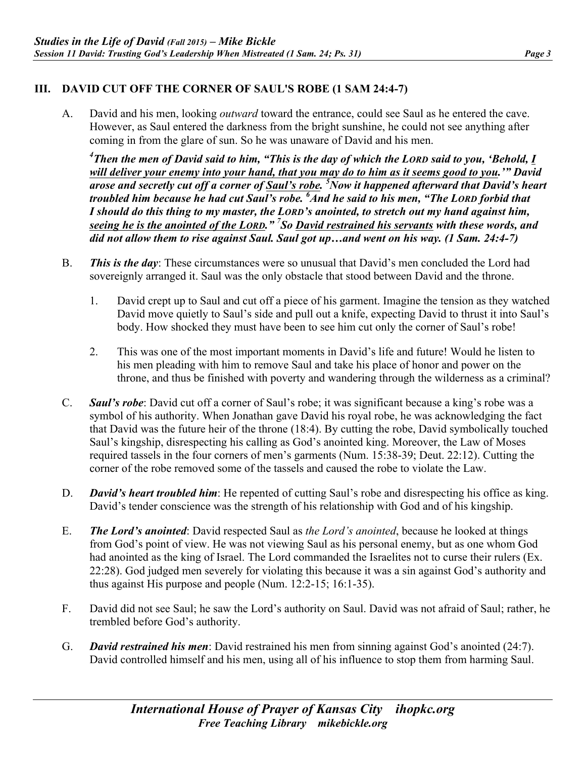## **III. DAVID CUT OFF THE CORNER OF SAUL'S ROBE (1 SAM 24:4-7)**

A. David and his men, looking *outward* toward the entrance, could see Saul as he entered the cave. However, as Saul entered the darkness from the bright sunshine, he could not see anything after coming in from the glare of sun. So he was unaware of David and his men.

*4 Then the men of David said to him, "This is the day of which the LORD said to you, 'Behold, I will deliver your enemy into your hand, that you may do to him as it seems good to you.'" David arose and secretly cut off a corner of Saul's robe. 5 Now it happened afterward that David's heart troubled him because he had cut Saul's robe. 6 And he said to his men, "The LORD forbid that I should do this thing to my master, the LORD's anointed, to stretch out my hand against him, seeing he is the anointed of the LORD." 7 So David restrained his servants with these words, and did not allow them to rise against Saul. Saul got up…and went on his way. (1 Sam. 24:4-7)*

- B. *This is the day*: These circumstances were so unusual that David's men concluded the Lord had sovereignly arranged it. Saul was the only obstacle that stood between David and the throne.
	- 1. David crept up to Saul and cut off a piece of his garment. Imagine the tension as they watched David move quietly to Saul's side and pull out a knife, expecting David to thrust it into Saul's body. How shocked they must have been to see him cut only the corner of Saul's robe!
	- 2. This was one of the most important moments in David's life and future! Would he listen to his men pleading with him to remove Saul and take his place of honor and power on the throne, and thus be finished with poverty and wandering through the wilderness as a criminal?
- C. *Saul's robe*: David cut off a corner of Saul's robe; it was significant because a king's robe was a symbol of his authority. When Jonathan gave David his royal robe, he was acknowledging the fact that David was the future heir of the throne (18:4). By cutting the robe, David symbolically touched Saul's kingship, disrespecting his calling as God's anointed king. Moreover, the Law of Moses required tassels in the four corners of men's garments (Num. 15:38-39; Deut. 22:12). Cutting the corner of the robe removed some of the tassels and caused the robe to violate the Law.
- D. *David's heart troubled him*: He repented of cutting Saul's robe and disrespecting his office as king. David's tender conscience was the strength of his relationship with God and of his kingship.
- E. *The Lord's anointed*: David respected Saul as *the Lord's anointed*, because he looked at things from God's point of view. He was not viewing Saul as his personal enemy, but as one whom God had anointed as the king of Israel. The Lord commanded the Israelites not to curse their rulers (Ex. 22:28). God judged men severely for violating this because it was a sin against God's authority and thus against His purpose and people (Num. 12:2-15; 16:1-35).
- F. David did not see Saul; he saw the Lord's authority on Saul. David was not afraid of Saul; rather, he trembled before God's authority.
- G. *David restrained his men*: David restrained his men from sinning against God's anointed (24:7). David controlled himself and his men, using all of his influence to stop them from harming Saul.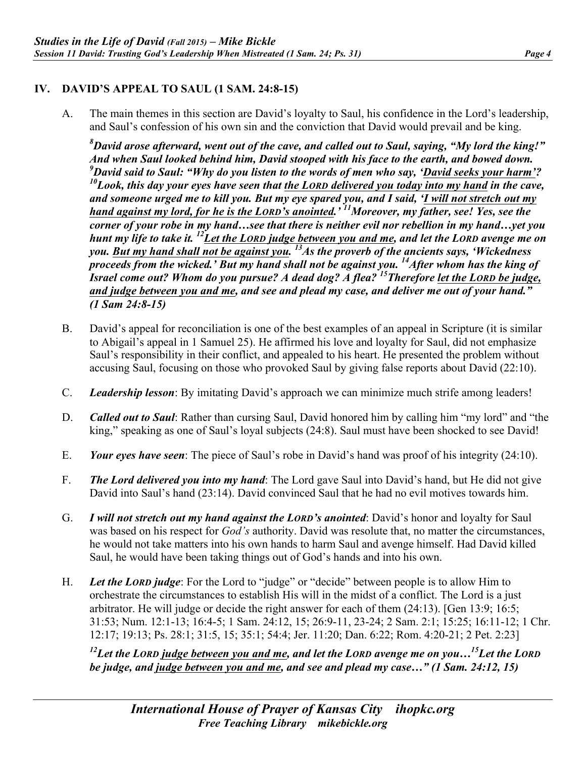## **IV. DAVID'S APPEAL TO SAUL (1 SAM. 24:8-15)**

A. The main themes in this section are David's loyalty to Saul, his confidence in the Lord's leadership, and Saul's confession of his own sin and the conviction that David would prevail and be king.

*8 David arose afterward, went out of the cave, and called out to Saul, saying, "My lord the king!" And when Saul looked behind him, David stooped with his face to the earth, and bowed down. 9 David said to Saul: "Why do you listen to the words of men who say, 'David seeks your harm'? 10Look, this day your eyes have seen that the LORD delivered you today into my hand in the cave, and someone urged me to kill you. But my eye spared you, and I said, 'I will not stretch out my hand against my lord, for he is the LORD's anointed.' 11Moreover, my father, see! Yes, see the corner of your robe in my hand…see that there is neither evil nor rebellion in my hand…yet you hunt my life to take it. 12Let the LORD judge between you and me, and let the LORD avenge me on*  you. <u>But my hand shall not be against you.<sup>13</sup>As the proverb of the ancients says, 'Wickedness</u> *proceeds from the wicked.' But my hand shall not be against you.* <sup>14</sup>After whom has the king of *Israel come out? Whom do you pursue? A dead dog? A flea? 15Therefore let the LORD be judge, and judge between you and me, and see and plead my case, and deliver me out of your hand." (1 Sam 24:8-15)*

- B. David's appeal for reconciliation is one of the best examples of an appeal in Scripture (it is similar to Abigail's appeal in 1 Samuel 25). He affirmed his love and loyalty for Saul, did not emphasize Saul's responsibility in their conflict, and appealed to his heart. He presented the problem without accusing Saul, focusing on those who provoked Saul by giving false reports about David (22:10).
- C. *Leadership lesson*: By imitating David's approach we can minimize much strife among leaders!
- D. *Called out to Saul*: Rather than cursing Saul, David honored him by calling him "my lord" and "the king," speaking as one of Saul's loyal subjects (24:8). Saul must have been shocked to see David!
- E. *Your eyes have seen*: The piece of Saul's robe in David's hand was proof of his integrity (24:10).
- F. *The Lord delivered you into my hand*: The Lord gave Saul into David's hand, but He did not give David into Saul's hand (23:14). David convinced Saul that he had no evil motives towards him.
- G. *I will not stretch out my hand against the LORD's anointed*: David's honor and loyalty for Saul was based on his respect for *God's* authority. David was resolute that, no matter the circumstances, he would not take matters into his own hands to harm Saul and avenge himself. Had David killed Saul, he would have been taking things out of God's hands and into his own.
- H. *Let the LORD judge*: For the Lord to "judge" or "decide" between people is to allow Him to orchestrate the circumstances to establish His will in the midst of a conflict. The Lord is a just arbitrator. He will judge or decide the right answer for each of them (24:13). [Gen 13:9; 16:5; 31:53; Num. 12:1-13; 16:4-5; 1 Sam. 24:12, 15; 26:9-11, 23-24; 2 Sam. 2:1; 15:25; 16:11-12; 1 Chr. 12:17; 19:13; Ps. 28:1; 31:5, 15; 35:1; 54:4; Jer. 11:20; Dan. 6:22; Rom. 4:20-21; 2 Pet. 2:23]

*12Let the LORD judge between you and me, and let the LORD avenge me on you…15Let the LORD be judge, and judge between you and me, and see and plead my case…" (1 Sam. 24:12, 15)*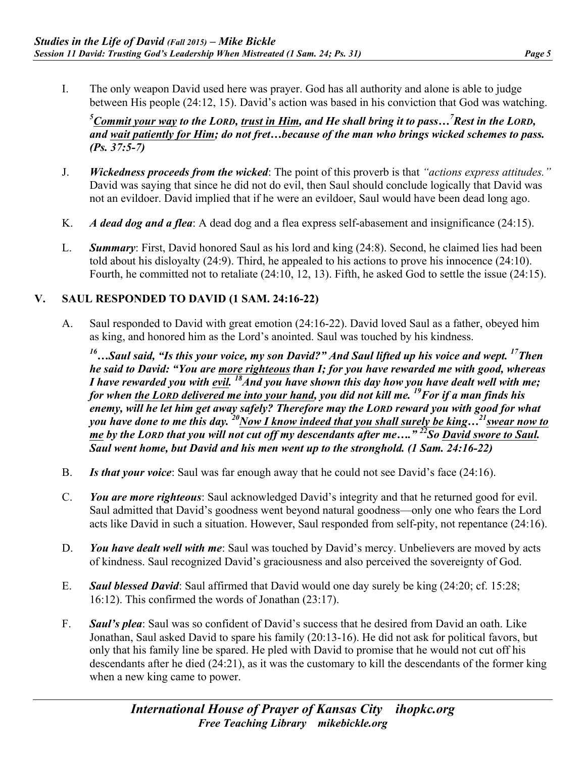I. The only weapon David used here was prayer. God has all authority and alone is able to judge between His people (24:12, 15). David's action was based in his conviction that God was watching.

*5 Commit your way to the LORD, trust in Him, and He shall bring it to pass…7 Rest in the LORD, and wait patiently for Him; do not fret…because of the man who brings wicked schemes to pass. (Ps. 37:5-7)*

- J. *Wickedness proceeds from the wicked*: The point of this proverb is that *"actions express attitudes."*  David was saying that since he did not do evil, then Saul should conclude logically that David was not an evildoer. David implied that if he were an evildoer, Saul would have been dead long ago.
- K. *A dead dog and a flea*: A dead dog and a flea express self-abasement and insignificance (24:15).
- L. *Summary*: First, David honored Saul as his lord and king (24:8). Second, he claimed lies had been told about his disloyalty (24:9). Third, he appealed to his actions to prove his innocence (24:10). Fourth, he committed not to retaliate (24:10, 12, 13). Fifth, he asked God to settle the issue (24:15).

#### **V. SAUL RESPONDED TO DAVID (1 SAM. 24:16-22)**

A. Saul responded to David with great emotion (24:16-22). David loved Saul as a father, obeyed him as king, and honored him as the Lord's anointed. Saul was touched by his kindness.

*16…Saul said, "Is this your voice, my son David?" And Saul lifted up his voice and wept. 17Then he said to David: "You are more righteous than I; for you have rewarded me with good, whereas I have rewarded you with evil.* <sup>18</sup>And you have shown this day how you have dealt well with me; *for when the LORD delivered me into your hand, you did not kill me. 19For if a man finds his enemy, will he let him get away safely? Therefore may the LORD reward you with good for what*  you have done to me this day. <sup>20</sup>Now I know indeed that you shall surely be king...<sup>21</sup> swear now to *me* by the LORD that you will not cut off my descendants after me...."<sup>22</sup>So David swore to Saul. *Saul went home, but David and his men went up to the stronghold. (1 Sam. 24:16-22)*

- B. *Is that your voice*: Saul was far enough away that he could not see David's face (24:16).
- C. *You are more righteous*: Saul acknowledged David's integrity and that he returned good for evil. Saul admitted that David's goodness went beyond natural goodness—only one who fears the Lord acts like David in such a situation. However, Saul responded from self-pity, not repentance (24:16).
- D. *You have dealt well with me*: Saul was touched by David's mercy. Unbelievers are moved by acts of kindness. Saul recognized David's graciousness and also perceived the sovereignty of God.
- E. *Saul blessed David*: Saul affirmed that David would one day surely be king (24:20; cf. 15:28; 16:12). This confirmed the words of Jonathan (23:17).
- F. *Saul's plea*: Saul was so confident of David's success that he desired from David an oath. Like Jonathan, Saul asked David to spare his family (20:13-16). He did not ask for political favors, but only that his family line be spared. He pled with David to promise that he would not cut off his descendants after he died (24:21), as it was the customary to kill the descendants of the former king when a new king came to power.